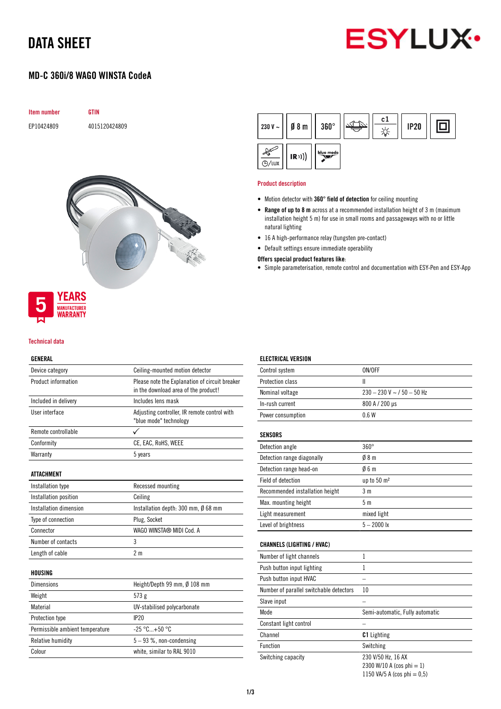# DATA SHEET



### MD-C 360i/8 WAGO WINSTA CodeA





# WARRANTY

**MANUFACTURER** 

### Technical data

### GENERAL

| Device category                 | Ceiling-mounted motion detector                                                        |  |  |
|---------------------------------|----------------------------------------------------------------------------------------|--|--|
| Product information             | Please note the Explanation of circuit breaker<br>in the download area of the product! |  |  |
| Included in delivery            | Includes lens mask                                                                     |  |  |
| User interface                  | Adjusting controller, IR remote control with<br>"blue mode" technology                 |  |  |
| Remote controllable             |                                                                                        |  |  |
| Conformity                      | CE, EAC, RoHS, WEEE                                                                    |  |  |
| Warranty                        | 5 years                                                                                |  |  |
| <b>ATTACHMENT</b>               |                                                                                        |  |  |
| Installation type               | Recessed mounting                                                                      |  |  |
| Installation position           | Ceiling                                                                                |  |  |
| Installation dimension          | Installation depth: 300 mm, Ø 68 mm                                                    |  |  |
| Type of connection              | Plug, Socket                                                                           |  |  |
| Connector                       | WAGO WINSTA® MIDI Cod. A                                                               |  |  |
| Number of contacts              | 3                                                                                      |  |  |
| Length of cable                 | 2 <sub>m</sub>                                                                         |  |  |
| HOUSING                         |                                                                                        |  |  |
| <b>Dimensions</b>               | Height/Depth 99 mm, Ø 108 mm                                                           |  |  |
| Weight                          | 573g                                                                                   |  |  |
| Material                        | UV-stabilised polycarbonate                                                            |  |  |
| Protection type                 | IP20                                                                                   |  |  |
| Permissible ambient temperature | $-25 °C+50 °C$                                                                         |  |  |
| Relative humidity               | $5-93$ %, non-condensing                                                               |  |  |
| Colour                          | white, similar to RAL 9010                                                             |  |  |

#### $c1$  $\emptyset$  8 m 回  $230 V 360^\circ$ **IP20** 氺  $\begin{picture}(120,115) \put(0,0){\vector(1,0){15}} \put(15,0){\vector(1,0){15}} \put(15,0){\vector(1,0){15}} \put(15,0){\vector(1,0){15}} \put(15,0){\vector(1,0){15}} \put(15,0){\vector(1,0){15}} \put(15,0){\vector(1,0){15}} \put(15,0){\vector(1,0){15}} \put(15,0){\vector(1,0){15}} \put(15,0){\vector(1,0){15}} \put(15,0){\vector(1,0){15}} \put(15,0){\vector$ blue mode  $(R))$  $O/H$

#### Product description

ELECTRICAL VERSION

- Motion detector with 360° field of detection for ceiling mounting
- Range of up to 8 m across at a recommended installation height of 3 m (maximum installation height 5 m) for use in small rooms and passageways with no or little natural lighting
- 16 A high-performance relay (tungsten pre-contact)
- Default settings ensure immediate operability

### Offers special product features like:

• Simple parameterisation, remote control and documentation with ESY-Pen and ESY-App

| Control system                          | ON/OFF                                                                            |
|-----------------------------------------|-----------------------------------------------------------------------------------|
| Protection class                        | Ш                                                                                 |
| Nominal voltage                         | $230 - 230$ V ~ $/50 - 50$ Hz                                                     |
| In-rush current                         | 800 A / 200 µs                                                                    |
| Power consumption                       | 0.6W                                                                              |
| <b>SENSORS</b>                          |                                                                                   |
| Detection angle                         | $360^\circ$                                                                       |
| Detection range diagonally              | 08 <sub>m</sub>                                                                   |
| Detection range head-on                 | 06m                                                                               |
| Field of detection                      | up to 50 m <sup>2</sup>                                                           |
| Recommended installation height         | 3 <sub>m</sub>                                                                    |
| Max. mounting height                    | 5 <sub>m</sub>                                                                    |
| Light measurement                       | mixed light                                                                       |
| Level of brightness                     | $5 - 2000$ lx                                                                     |
| <b>CHANNELS (LIGHTING / HVAC)</b>       |                                                                                   |
| Number of light channels                | 1                                                                                 |
| Push button input lighting              | $\mathbf{1}$                                                                      |
| Push button input HVAC                  |                                                                                   |
| Number of parallel switchable detectors | 10                                                                                |
| Slave input                             |                                                                                   |
| Mode                                    | Semi-automatic, Fully automatic                                                   |
| Constant light control                  |                                                                                   |
| Channel                                 | <b>C1</b> Lighting                                                                |
| Function                                | Switching                                                                         |
| Switching capacity                      | 230 V/50 Hz, 16 AX<br>2300 W/10 A (cos phi = 1)<br>1150 VA/5 A (cos phi = $0,5$ ) |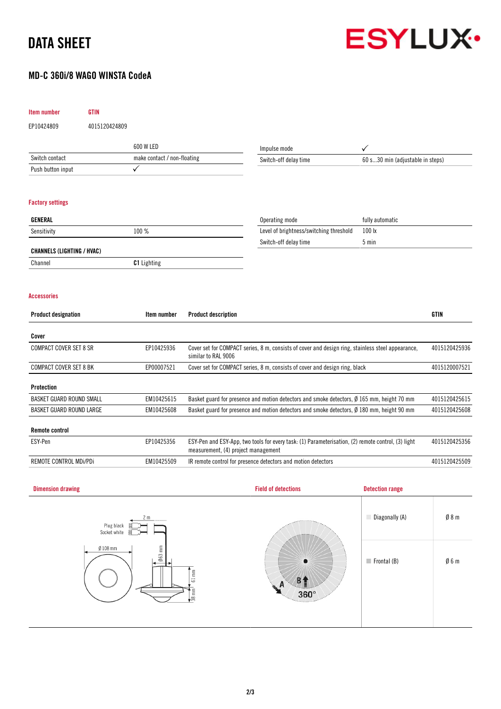# DATA SHEET



 $\emptyset$  108 mm

 $063$  mm

 $\sqrt{\frac{1}{6}}$ 



Frontal (B) Ø 6 m

| Item number                       | <b>GTIN</b>                    |                             |                                                                                                                                           |                                                                                            |                                  |                 |
|-----------------------------------|--------------------------------|-----------------------------|-------------------------------------------------------------------------------------------------------------------------------------------|--------------------------------------------------------------------------------------------|----------------------------------|-----------------|
| EP10424809                        | 4015120424809                  |                             |                                                                                                                                           |                                                                                            |                                  |                 |
|                                   |                                | 600 W LED                   |                                                                                                                                           | Impulse mode                                                                               | ✓                                |                 |
| Switch contact                    |                                | make contact / non-floating |                                                                                                                                           | Switch-off delay time                                                                      | 60 s30 min (adjustable in steps) |                 |
| Push button input                 |                                | ✓                           |                                                                                                                                           |                                                                                            |                                  |                 |
| <b>Factory settings</b>           |                                |                             |                                                                                                                                           |                                                                                            |                                  |                 |
| <b>GENERAL</b>                    |                                |                             |                                                                                                                                           | Operating mode                                                                             | fully automatic                  |                 |
| Sensitivity                       |                                | 100 %                       |                                                                                                                                           | Level of brightness/switching threshold                                                    | 100 lx                           |                 |
|                                   |                                |                             |                                                                                                                                           | Switch-off delay time                                                                      | $5 \text{ min}$                  |                 |
| <b>CHANNELS (LIGHTING / HVAC)</b> |                                |                             |                                                                                                                                           |                                                                                            |                                  |                 |
| Channel                           |                                | <b>C1</b> Lighting          |                                                                                                                                           |                                                                                            |                                  |                 |
| <b>Accessories</b>                |                                |                             |                                                                                                                                           |                                                                                            |                                  |                 |
| <b>Product designation</b>        |                                | Item number                 | <b>Product description</b>                                                                                                                |                                                                                            |                                  | <b>GTIN</b>     |
| Cover                             |                                |                             |                                                                                                                                           |                                                                                            |                                  |                 |
| <b>COMPACT COVER SET 8 SR</b>     |                                | EP10425936                  | Cover set for COMPACT series, 8 m, consists of cover and design ring, stainless steel appearance,<br>similar to RAL 9006                  |                                                                                            |                                  | 4015120425936   |
| <b>COMPACT COVER SET 8 BK</b>     |                                | EP00007521                  |                                                                                                                                           | Cover set for COMPACT series, 8 m, consists of cover and design ring, black                |                                  |                 |
| Protection                        |                                |                             |                                                                                                                                           |                                                                                            |                                  |                 |
| BASKET GUARD ROUND SMALL          |                                | EM10425615                  | Basket guard for presence and motion detectors and smoke detectors, Ø 165 mm, height 70 mm                                                |                                                                                            |                                  | 4015120425615   |
| BASKET GUARD ROUND LARGE          |                                | EM10425608                  |                                                                                                                                           | Basket guard for presence and motion detectors and smoke detectors, Ø 180 mm, height 90 mm |                                  | 4015120425608   |
| <b>Remote control</b>             |                                |                             |                                                                                                                                           |                                                                                            |                                  |                 |
| ESY-Pen                           |                                | EP10425356                  | ESY-Pen and ESY-App, two tools for every task: (1) Parameterisation, (2) remote control, (3) light<br>measurement, (4) project management |                                                                                            |                                  | 4015120425356   |
| REMOTE CONTROL MDi/PDi            |                                | EM10425509                  | IR remote control for presence detectors and motion detectors                                                                             |                                                                                            |                                  | 4015120425509   |
| <b>Dimension drawing</b>          |                                |                             |                                                                                                                                           | <b>Field of detections</b>                                                                 | <b>Detection range</b>           |                 |
|                                   | Plug black 旨<br>Socket white 目 |                             |                                                                                                                                           |                                                                                            | $\Box$ Diagonally (A)            | 08 <sub>m</sub> |

 $B<sub>1</sub>$  $360^\circ$